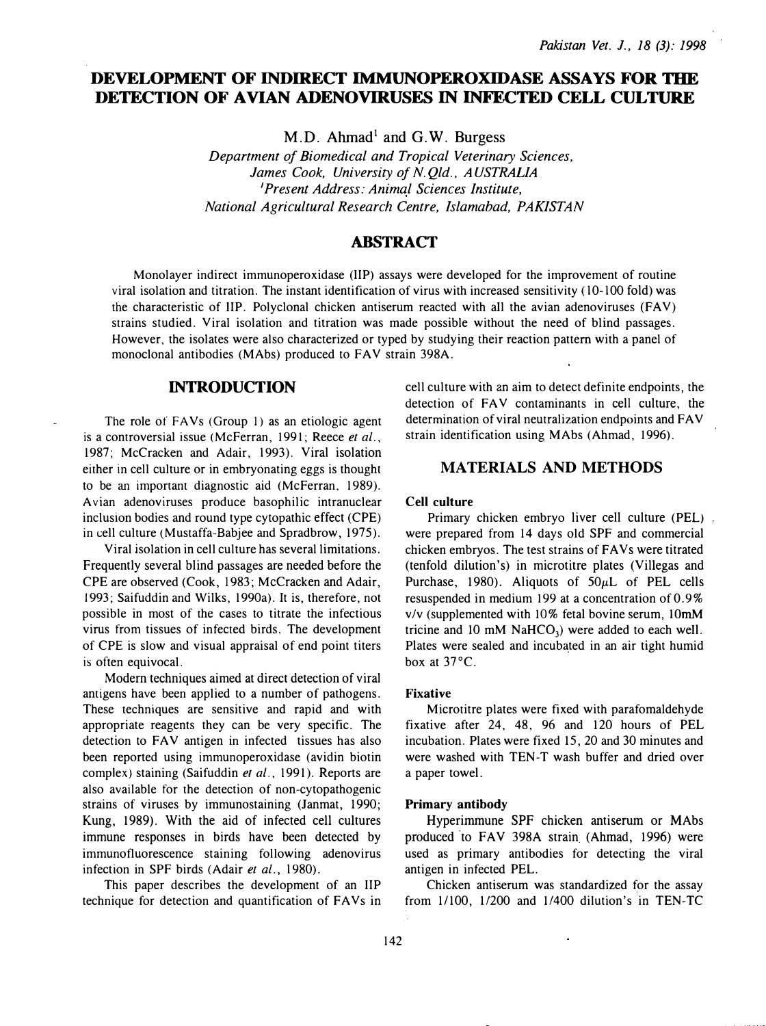# DEVELOPMENT OF INDIRECT IMMUNOPEROXIDASE ASSAYS FOR THE DETECTION OF AVIAN ADENOVIRUSES IN INFECTED CELL CULTURE

 $M.D.$  Ahmad<sup>1</sup> and G.W. Burgess

Department of Biomedical and Tropical Veterinary Sciences, James Cook, University of N. Qld., AUSTRALIA <sup>1</sup>Present Address: Animal Sciences Institute, National Agricultural Research Centre, Islamabad, PAKISTAN

## ABSTRACT

Monolayer indirect immunoperoxidase (liP) assays were developed for the improvement of routine viral isolation and titration. The instant identification of virus with increased sensitivity ( 10-100 fold) was the characteristic of IIP. Polyclonal chicken antiserum reacted with all the avian adenoviruses (FAV) strains studied. Viral isolation and titration was made possible without the need of blind passages. However, the isolates were also characterized or typed by studying their reaction pattern with a panel of monoclonal antibodies (MAbs) produced to FAV strain 398A.

### INTRODUCTION

The role of FAVs (Group 1) as an etiologic agent is a controversial issue (McFerran, 1991; Reece et al., 1987; McCracken and Adair, 1993). Viral isolation either in cell culture or in embryonating eggs is thought to be an important diagnostic aid (McFerran. 1989). Avian adenoviruses produce basophilic intranuclear inclusion bodies and round type cytopathic effect (CPE) in cell culture (Mustaffa-Babjee and Spradbrow, 1975).

Viral isolation in cell culture has several limitations. Frequently several blind passages are needed before the CPE are observed (Cook, 1983; McCracken and Adair, 1993; Saifuddin and Wilks, 1990a). It is, therefore, not possible in most of the cases to titrate the infectious virus from tissues of infected birds. The development of CPE is slow and visual appraisal of end point titers is often equivocal.

Modern techniques aimed at direct detection of viral antigens have been applied to a number of pathogens. These techniques are sensitive and rapid and with appropriate reagents they can be very specific. The detection to FAV antigen in infected tissues has also been reported using immunoperoxidase (avidin biotin complex) staining (Saifuddin et al., 1991). Reports are also available for the detection of non-cytopathogenic strains of viruses by immunostaining (Janmat, 1990; Kung, 1989). With the aid of infected cell cultures immune responses in birds have been detected by immunofluorescence staining following adenovirus infection in SPF birds (Adair et al., 1980).

This paper describes the development of an liP technique for detection and quantification of FAVs in cell culture with an aim to detect definite endpoints, the detection of FAV contaminants in cell culture, the determination of viral neutralization endpoints and FAV strain identification using MAbs (Ahmad, 1996).

## MATERIALS AND METHODS

### Cell culture

Primary chicken embryo liver cell culture (PEL). were prepared from 14 days old SPF and commercial chicken embryos. The test strains of FA Vs were titrated (tenfold dilution's) in microtitre plates (Villegas and Purchase, 1980). Aliquots of  $50\mu L$  of PEL cells resuspended in medium 199 at a concentration of 0. 9% v/v (supplemented with 10% fetal bovine serum, lOmM tricine and 10 mM  $NaHCO<sub>3</sub>$ ) were added to each well. Plates were sealed and incub�ted in an air tight humid box at 37°C.

#### Fixative

Microtitre plates were fixed with parafomaldehyde fixative after 24, 48, 96 and 120 hours of PEL incubation. Plates were fixed 15, 20 and 30 minutes and were washed with TEN-T wash buffer and dried over a paper towel.

### Primary antibody

Hyperimmune SPF chicken antiserum or MAbs produced ·to FAY 398A strain (Ahmad, 1996) were used as primary antibodies for detecting the viral antigen in infected PEL.

Chicken antiserum was standardized for the assay from 11100, 1/200 and 1/400 dilution's in TEN-TC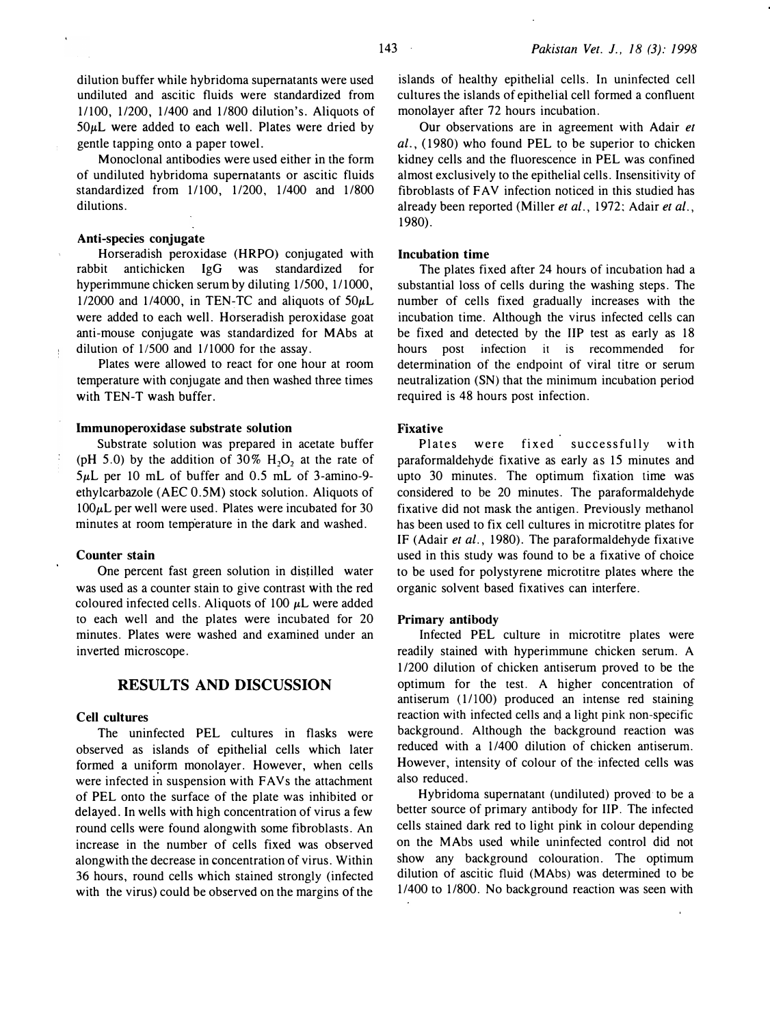dilution buffer while hybridoma supernatants were used undiluted and ascitic fluids were standardized from 11100, 11200, 1/400 and 11800 dilution's. Aliquots of  $50 \mu L$  were added to each well. Plates were dried by gentle tapping onto a paper towel.

Monoclonal antibodies were used either in the form of undiluted hybridoma supernatants or ascitic fluids standardized from 1/100, 1/200, 1/400 and 1/800 dilutions.

#### Anti-species conjugate

Horseradish peroxidase (HRPO) conjugated with rabbit antichicken IgG was standardized for hyperimmune chicken serum by diluting 1/500, 1/1000, 1/2000 and 1/4000, in TEN-TC and aliquots of  $50\mu L$ were added to each well. Horseradish peroxidase goat anti-mouse conjugate was standardized for MAbs at dilution of  $1/500$  and  $1/1000$  for the assay.

Plates were allowed to react for one hour at room temperature with conjugate and then washed three times with TEN-T wash buffer.

### lmmunoperoxidase substrate solution

Substrate solution was prepared in acetate buffer (pH  $5.0$ ) by the addition of  $30\%$  H<sub>2</sub>O<sub>2</sub> at the rate of  $5\mu$ L per 10 mL of buffer and 0.5 mL of 3-amino-9ethylcarbazole (AEC O.SM) stock solution. Aliquots of  $100\mu$ L per well were used. Plates were incubated for 30 minutes at room temperature in the dark and washed.

### Counter stain

One percent fast green solution in dis�illed water was used as a counter stain to give contrast with the red coloured infected cells. Aliquots of  $100 \mu L$  were added to each well and the plates were incubated for 20 minutes. Plates were washed and examined under an inverted microscope.

## RESULTS AND DISCUSSION

### Cell cultures

The uninfected PEL cultures in flasks were observed as islands of epithelial cells which later formed a uniform monolayer. However, when cells were infected in suspension with FAVs the attachment of PEL onto the surface of the plate was inhibited or delayed. In wells with high concentration of virus a few round cells were found alongwith some fibroblasts. An increase in the number of cells fixed was observed alongwith the decrease in concentration of virus. Within 36 hours, round cells which stained strongly (infected with the virus) could be observed on the margins of the

islands of healthy epithelial cells. In uninfected cell cultures the islands of epithelial cell formed a confluent monolayer after 72 hours incubation.

Our observations are in agreement with Adair et  $al.$ , (1980) who found PEL to be superior to chicken kidney cells and the fluorescence in PEL was confined almost exclusively to the epithelial cells. Insensitivity of fibroblasts of FAV infection noticed in this studied has already been reported (Miller et al., 1972; Adair et al., 1980).

### Incubation time

The plates fixed after 24 hours of incubation had a substantial loss of cells during the washing steps. The number of cells fixed gradually increases with the incubation time. Although the virus infected cells can be fixed and detected by the liP test as early as 18 hours post infection it is recommended for determination of the endpoint of viral titre or serum neutralization (SN) that the minimum incubation period required is 48 hours post infection.

### Fixative

Plates were fixed successfully with paraformaldehyde fixative as early as 15 minutes and upto 30 minutes. The optimum fixation time was considered to be 20 minutes. The paraformaldehyde fixative did not mask the antigen. Previously methanol has been used to fix cell cultures in microtitre plates for IF (Adair et al., 1980). The paraformaldehyde fixative used in this study was found to be a fixative of choice to be used for polystyrene microtitre plates where the organic solvent based fixatives can interfere.

#### Primary antibody

Infected PEL culture in microtitre plates were readily stained with hyperimmune chicken serum. A 1/200 dilution of chicken antiserum proved to be the optimum for the test. A higher concentration of antiserum (11100) produced an intense red staining reaction with infected cells and a light pink non-specific background. Although the background reaction was reduced with a 1/400 dilution of chicken antiserum. However, intensity of colour of the infected cells was also reduced.

Hybridoma supernatant (undiluted) proved to be a better source of primary antibody for liP. The infected cells stained dark red to light pink in colour depending on the MAbs used while uninfected control did not show any background colouration. The optimum dilution of ascitic fluid (MAbs) was determined to be 1/400 to 11800. No background reaction was seen with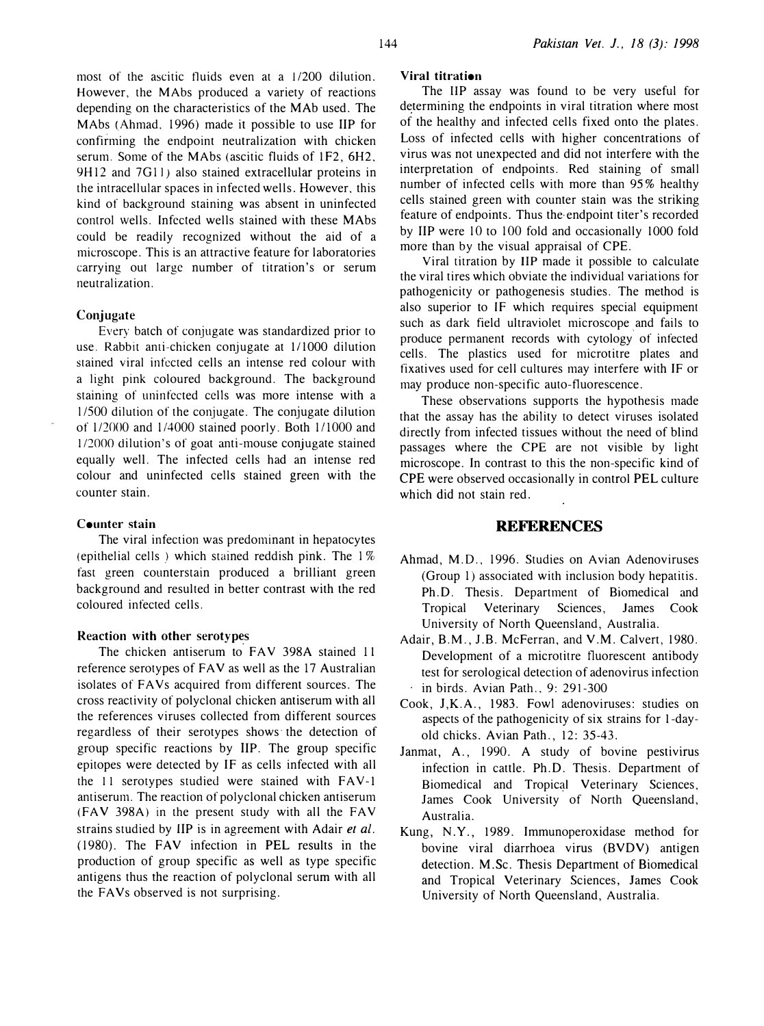most of the ascitic tluids even at a 1/200 dilution. However, the MAbs produced a variety of reactions depending on the characteristics of the MAb used. The MAbs (Ahmad, 1996) made it possible to use liP for confirming the endpoint neutralization with chicken serum. Some of the MAbs (ascitic fluids of 1F2, 6H2, 9H12 and 7G11) also stained extracellular proteins in the intracellular spaces in infected wells. However, this kind of background staining was absent in uninfected control wells. Infected wells stained with these MAbs could be readily recognized without the aid of a microscope. This is an attractive feature for laboratories carrying out large number of titration's or serum neutralization.

### Conjugate

Every batch of conjugate was standardized prior to use. Rabbit anti-chicken conjugate at 111000 dilution stained viral infected cells an intense red colour with a light pink coloured background. The background staining of uninfected cells was more intense with a l /500 dilution of the conjugate. The conjugate dilution of  $1/2000$  and  $1/4000$  stained poorly. Both  $1/1000$  and 1/2000 dilution's of goat anti-mouse conjugate stained equally well. The infected cells had an intense red colour and uninfected cells stained green with the counter stain.

### Counter stain

The viral infection was predominant in hepatocytes (epithelial cells ) which stained reddish pink. The I% fast green counterstain produced a brilliant green background and resulted in better contrast with the red coloured infected cells.

# Reaction with other serotyp� s

The chicken antiserum to FAY 398A stained 11 reference serotypes of FAV as well as the 17 Australian isolates of FAYs acquired from different sources. The cross reactivity of polyclonal chicken antiserum with all the references viruses collected from different sources regardless of their serotypes shows· the detection of group specific reactions by IIP. The group specific epitopes were detected by IF as cells infected with all the 11 serotypes studied were stained with FAV-1 antiserum. The reaction of polyclonal chicken antiserum (FAV 398A) in the present study with all the FAV strains studied by IIP is in agreement with Adair et al. (1980). The FAV infection in PEL results in the production of group specific as well as type specific antigens thus the reaction of polyclonal serum with all the FAVs observed is not surprising.

### Viral titration

The liP assay was found to be very useful for determining the endpoints in viral titration where most of the healthy and infected cells fixed onto the plates. Loss of infected cells with higher concentrations of virus was not unexpected and did not interfere with the interpretation of endpoints. Red staining of small number of infected cells with more than 95% healthy cells stained green with counter stain was the striking feature of endpoints. Thus the-endpoint titer's recorded by liP were 10 to 100 fold and occasionally 1000 fold more than by the visual appraisal of CPE.

Viral titration by liP made it possible to calculate the viral tires which obviate the individual variations for pathogenicity or pathogenesis studies. The method is also superior to IF which requires special equipment such as dark field ultraviolet microscope and fails to produce permanent records with cytology of infected cells. The plastics used for microtitre plates and fixatives used for cell cultures may interfere with IF or may produce non-specific auto-fluorescence.

These observations supports the hypothesis made that the assay has the ability to detect viruses isolated directly from infected tissues without the need of blind passages where the CPE are not visible by light microscope. In contrast to this the non-specific kind of CPE were observed occasionally in control PEL culture which did not stain red.

## **REFERENCES**

- Ahmad, M.D., 1996. Studies on Avian Adenoviruses (Group 1) associated with inclusion body hepatitis. Ph.D. Thesis. Department of Biomedical and Tropical Veterinary Sciences, James Cook University of North Queensland, Australia.
- Adair, B.M., J.B. McFerran, and V.M. Calvert, 1980. Development of a microtitre fluorescent antibody test for serological detection of adenovirus infection in birds. Avian Path., 9: 291-300
- Cook, J,K.A., 1983. Fowl adenoviruses: studies on aspects of the pathogenicity of six strains for 1-dayold chicks. Avian Path., 12: 35-43.
- Janmat, A., 1990. A study of bovine pestivirus infection in cattle. Ph.D. Thesis. Department of Biomedical and Tropical Veterinary Sciences, James Cook University of North Queensland, Australia.
- Kung, N.Y., 1989. Immunoperoxidase method for bovine viral diarrhoea virus (BVDV) antigen detection. M.Sc. Thesis Department of Biomedical and Tropical Veterinary Sciences, James Cook University of North Queensland, Australia.